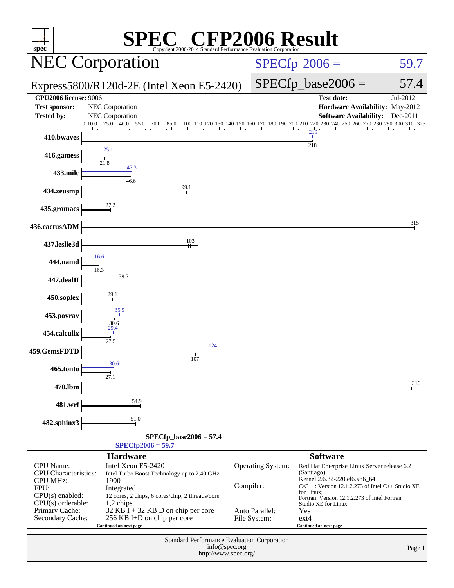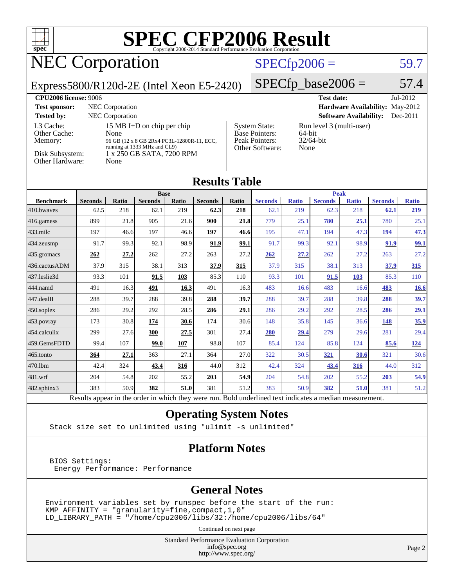

## NEC Corporation

#### $SPECfp2006 = 59.7$  $SPECfp2006 = 59.7$

Express5800/R120d-2E (Intel Xeon E5-2420)

 $SPECfp\_base2006 = 57.4$ 

| <b>CPU2006 license: 9006</b>                                               |                                                                                                                                                       |                                                                                    | <b>Test date:</b><br>$Jul-2012$                               |
|----------------------------------------------------------------------------|-------------------------------------------------------------------------------------------------------------------------------------------------------|------------------------------------------------------------------------------------|---------------------------------------------------------------|
| <b>Test sponsor:</b>                                                       | NEC Corporation                                                                                                                                       |                                                                                    | <b>Hardware Availability: May-2012</b>                        |
| <b>Tested by:</b>                                                          | <b>NEC</b> Corporation                                                                                                                                |                                                                                    | <b>Software Availability:</b><br>Dec-2011                     |
| L3 Cache:<br>Other Cache:<br>Memory:<br>Disk Subsystem:<br>Other Hardware: | 15 MB I+D on chip per chip<br>None<br>96 GB (12 x 8 GB 2Rx4 PC3L-12800R-11, ECC,<br>running at 1333 MHz and CL9)<br>1 x 250 GB SATA, 7200 RPM<br>None | <b>System State:</b><br><b>Base Pointers:</b><br>Peak Pointers:<br>Other Software: | Run level 3 (multi-user)<br>$64$ -bit<br>$32/64$ -bit<br>None |

#### **[Results Table](http://www.spec.org/auto/cpu2006/Docs/result-fields.html#ResultsTable)**

|                        | <b>Base</b>    |       |                |       |                | <b>Peak</b> |                |              |                |              |                |              |
|------------------------|----------------|-------|----------------|-------|----------------|-------------|----------------|--------------|----------------|--------------|----------------|--------------|
| <b>Benchmark</b>       | <b>Seconds</b> | Ratio | <b>Seconds</b> | Ratio | <b>Seconds</b> | Ratio       | <b>Seconds</b> | <b>Ratio</b> | <b>Seconds</b> | <b>Ratio</b> | <b>Seconds</b> | <b>Ratio</b> |
| 410.bwayes             | 62.5           | 218   | 62.1           | 219   | 62.3           | 218         | 62.1           | 219          | 62.3           | 218          | 62.1           | 219          |
| $416$ .gamess          | 899            | 21.8  | 905            | 21.6  | 900            | 21.8        | 779            | 25.1         | 780            | 25.1         | 780            | 25.1         |
| $433$ .milc            | 197            | 46.6  | 197            | 46.6  | 197            | 46.6        | 195            | 47.1         | 194            | 47.3         | <u>194</u>     | 47.3         |
| $434$ . zeusmp         | 91.7           | 99.3  | 92.1           | 98.9  | 91.9           | 99.1        | 91.7           | 99.3         | 92.1           | 98.9         | 91.9           | 99.1         |
| 435.gromacs            | 262            | 27.2  | 262            | 27.2  | 263            | 27.2        | 262            | 27.2         | 262            | 27.2         | 263            | 27.2         |
| 436.cactusADM          | 37.9           | 315   | 38.1           | 313   | 37.9           | 315         | 37.9           | 315          | 38.1           | 313          | 37.9           | 315          |
| 437.leslie3d           | 93.3           | 101   | 91.5           | 103   | 85.3           | 110         | 93.3           | 101          | 91.5           | 103          | 85.3           | 110          |
| 444.namd               | 491            | 16.3  | <u>491</u>     | 16.3  | 491            | 16.3        | 483            | 16.6         | 483            | 16.6         | 483            | <b>16.6</b>  |
| $ 447 \text{.}$ dealII | 288            | 39.7  | 288            | 39.8  | 288            | 39.7        | 288            | 39.7         | 288            | 39.8         | 288            | 39.7         |
| 450.soplex             | 286            | 29.2  | 292            | 28.5  | 286            | 29.1        | 286            | 29.2         | 292            | 28.5         | 286            | 29.1         |
| 453.povray             | 173            | 30.8  | 174            | 30.6  | 174            | 30.6        | 148            | 35.8         | 145            | 36.6         | 148            | 35.9         |
| 454.calculix           | 299            | 27.6  | 300            | 27.5  | 301            | 27.4        | 280            | 29.4         | 279            | 29.6         | 281            | 29.4         |
| 459.GemsFDTD           | 99.4           | 107   | 99.0           | 107   | 98.8           | 107         | 85.4           | 124          | 85.8           | 124          | 85.6           | <u>124</u>   |
| $465$ .tonto           | 364            | 27.1  | 363            | 27.1  | 364            | 27.0        | 322            | 30.5         | <u>321</u>     | 30.6         | 321            | 30.6         |
| 470.1bm                | 42.4           | 324   | 43.4           | 316   | 44.0           | 312         | 42.4           | 324          | 43.4           | 316          | 44.0           | 312          |
| 481.wrf                | 204            | 54.8  | 202            | 55.2  | 203            | 54.9        | 204            | 54.8         | 202            | 55.2         | 203            | 54.9         |
| 482.sphinx3            | 383            | 50.9  | 382            | 51.0  | 381            | 51.2        | 383            | 50.9         | 382            | 51.0         | 381            | 51.2         |

Results appear in the [order in which they were run.](http://www.spec.org/auto/cpu2006/Docs/result-fields.html#RunOrder) Bold underlined text [indicates a median measurement.](http://www.spec.org/auto/cpu2006/Docs/result-fields.html#Median)

#### **[Operating System Notes](http://www.spec.org/auto/cpu2006/Docs/result-fields.html#OperatingSystemNotes)**

Stack size set to unlimited using "ulimit -s unlimited"

#### **[Platform Notes](http://www.spec.org/auto/cpu2006/Docs/result-fields.html#PlatformNotes)**

 BIOS Settings: Energy Performance: Performance

#### **[General Notes](http://www.spec.org/auto/cpu2006/Docs/result-fields.html#GeneralNotes)**

Environment variables set by runspec before the start of the run: KMP\_AFFINITY = "granularity=fine,compact,1,0" LD\_LIBRARY\_PATH = "/home/cpu2006/libs/32:/home/cpu2006/libs/64"

Continued on next page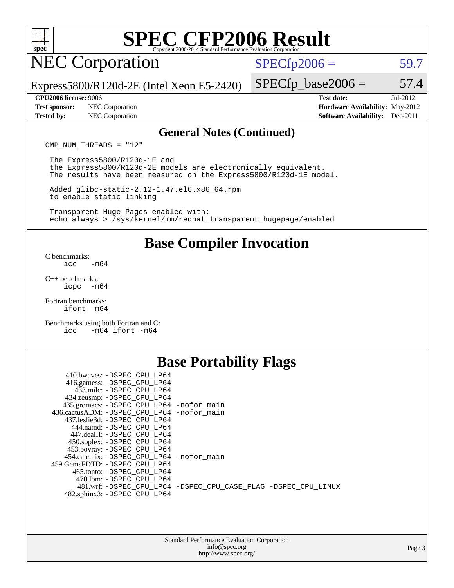

## NEC Corporation

 $SPECTp2006 = 59.7$ 

Express5800/R120d-2E (Intel Xeon E5-2420)

#### **[CPU2006 license:](http://www.spec.org/auto/cpu2006/Docs/result-fields.html#CPU2006license)** 9006 **[Test date:](http://www.spec.org/auto/cpu2006/Docs/result-fields.html#Testdate)** Jul-2012

**[Test sponsor:](http://www.spec.org/auto/cpu2006/Docs/result-fields.html#Testsponsor)** NEC Corporation **[Hardware Availability:](http://www.spec.org/auto/cpu2006/Docs/result-fields.html#HardwareAvailability)** May-2012

 $SPECfp\_base2006 = 57.4$ 

**[Tested by:](http://www.spec.org/auto/cpu2006/Docs/result-fields.html#Testedby)** NEC Corporation **[Software Availability:](http://www.spec.org/auto/cpu2006/Docs/result-fields.html#SoftwareAvailability)** Dec-2011

#### **[General Notes \(Continued\)](http://www.spec.org/auto/cpu2006/Docs/result-fields.html#GeneralNotes)**

OMP NUM THREADS = "12"

 The Express5800/R120d-1E and the Express5800/R120d-2E models are electronically equivalent. The results have been measured on the Express5800/R120d-1E model.

 Added glibc-static-2.12-1.47.el6.x86\_64.rpm to enable static linking

 Transparent Huge Pages enabled with: echo always > /sys/kernel/mm/redhat\_transparent\_hugepage/enabled

#### **[Base Compiler Invocation](http://www.spec.org/auto/cpu2006/Docs/result-fields.html#BaseCompilerInvocation)**

[C benchmarks](http://www.spec.org/auto/cpu2006/Docs/result-fields.html#Cbenchmarks):  $\text{icc}$  -m64

[C++ benchmarks:](http://www.spec.org/auto/cpu2006/Docs/result-fields.html#CXXbenchmarks) [icpc -m64](http://www.spec.org/cpu2006/results/res2012q3/cpu2006-20120712-23638.flags.html#user_CXXbase_intel_icpc_64bit_bedb90c1146cab66620883ef4f41a67e)

[Fortran benchmarks](http://www.spec.org/auto/cpu2006/Docs/result-fields.html#Fortranbenchmarks): [ifort -m64](http://www.spec.org/cpu2006/results/res2012q3/cpu2006-20120712-23638.flags.html#user_FCbase_intel_ifort_64bit_ee9d0fb25645d0210d97eb0527dcc06e)

[Benchmarks using both Fortran and C](http://www.spec.org/auto/cpu2006/Docs/result-fields.html#BenchmarksusingbothFortranandC): [icc -m64](http://www.spec.org/cpu2006/results/res2012q3/cpu2006-20120712-23638.flags.html#user_CC_FCbase_intel_icc_64bit_0b7121f5ab7cfabee23d88897260401c) [ifort -m64](http://www.spec.org/cpu2006/results/res2012q3/cpu2006-20120712-23638.flags.html#user_CC_FCbase_intel_ifort_64bit_ee9d0fb25645d0210d97eb0527dcc06e)

#### **[Base Portability Flags](http://www.spec.org/auto/cpu2006/Docs/result-fields.html#BasePortabilityFlags)**

| 410.bwaves: -DSPEC CPU LP64                  |                                                                |
|----------------------------------------------|----------------------------------------------------------------|
| 416.gamess: -DSPEC_CPU_LP64                  |                                                                |
| 433.milc: -DSPEC CPU LP64                    |                                                                |
| 434.zeusmp: -DSPEC_CPU_LP64                  |                                                                |
| 435.gromacs: -DSPEC_CPU_LP64 -nofor_main     |                                                                |
| 436.cactusADM: - DSPEC CPU LP64 - nofor main |                                                                |
| 437.leslie3d: -DSPEC CPU LP64                |                                                                |
| 444.namd: -DSPEC CPU LP64                    |                                                                |
| 447.dealII: -DSPEC CPU LP64                  |                                                                |
| 450.soplex: -DSPEC_CPU_LP64                  |                                                                |
| 453.povray: -DSPEC_CPU_LP64                  |                                                                |
| 454.calculix: -DSPEC CPU LP64 -nofor main    |                                                                |
| 459.GemsFDTD: -DSPEC CPU LP64                |                                                                |
| 465.tonto: - DSPEC CPU LP64                  |                                                                |
| 470.1bm: - DSPEC CPU LP64                    |                                                                |
|                                              | 481.wrf: -DSPEC CPU_LP64 -DSPEC_CPU_CASE_FLAG -DSPEC_CPU_LINUX |
| 482.sphinx3: -DSPEC_CPU_LP64                 |                                                                |
|                                              |                                                                |

| <b>Standard Performance Evaluation Corporation</b> |
|----------------------------------------------------|
| info@spec.org                                      |
| http://www.spec.org/                               |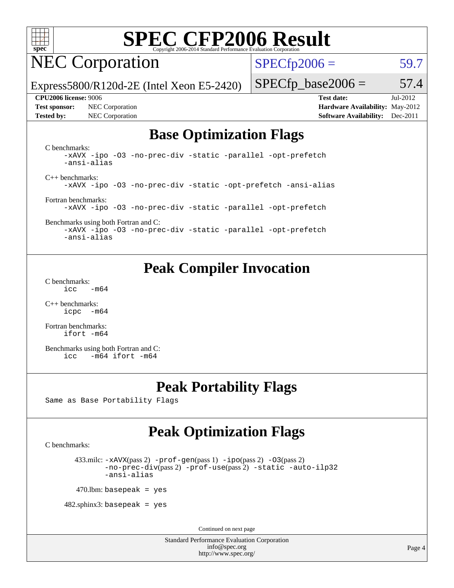

## NEC Corporation

 $SPECfp2006 = 59.7$  $SPECfp2006 = 59.7$ 

Express5800/R120d-2E (Intel Xeon E5-2420)

**[Tested by:](http://www.spec.org/auto/cpu2006/Docs/result-fields.html#Testedby)** NEC Corporation **[Software Availability:](http://www.spec.org/auto/cpu2006/Docs/result-fields.html#SoftwareAvailability)** Dec-2011

**[CPU2006 license:](http://www.spec.org/auto/cpu2006/Docs/result-fields.html#CPU2006license)** 9006 **[Test date:](http://www.spec.org/auto/cpu2006/Docs/result-fields.html#Testdate)** Jul-2012 **[Test sponsor:](http://www.spec.org/auto/cpu2006/Docs/result-fields.html#Testsponsor)** NEC Corporation **[Hardware Availability:](http://www.spec.org/auto/cpu2006/Docs/result-fields.html#HardwareAvailability)** May-2012

 $SPECTp\_base2006 = 57.4$ 

#### **[Base Optimization Flags](http://www.spec.org/auto/cpu2006/Docs/result-fields.html#BaseOptimizationFlags)**

[C benchmarks](http://www.spec.org/auto/cpu2006/Docs/result-fields.html#Cbenchmarks): [-xAVX](http://www.spec.org/cpu2006/results/res2012q3/cpu2006-20120712-23638.flags.html#user_CCbase_f-xAVX) [-ipo](http://www.spec.org/cpu2006/results/res2012q3/cpu2006-20120712-23638.flags.html#user_CCbase_f-ipo) [-O3](http://www.spec.org/cpu2006/results/res2012q3/cpu2006-20120712-23638.flags.html#user_CCbase_f-O3) [-no-prec-div](http://www.spec.org/cpu2006/results/res2012q3/cpu2006-20120712-23638.flags.html#user_CCbase_f-no-prec-div) [-static](http://www.spec.org/cpu2006/results/res2012q3/cpu2006-20120712-23638.flags.html#user_CCbase_f-static) [-parallel](http://www.spec.org/cpu2006/results/res2012q3/cpu2006-20120712-23638.flags.html#user_CCbase_f-parallel) [-opt-prefetch](http://www.spec.org/cpu2006/results/res2012q3/cpu2006-20120712-23638.flags.html#user_CCbase_f-opt-prefetch) [-ansi-alias](http://www.spec.org/cpu2006/results/res2012q3/cpu2006-20120712-23638.flags.html#user_CCbase_f-ansi-alias) [C++ benchmarks:](http://www.spec.org/auto/cpu2006/Docs/result-fields.html#CXXbenchmarks) [-xAVX](http://www.spec.org/cpu2006/results/res2012q3/cpu2006-20120712-23638.flags.html#user_CXXbase_f-xAVX) [-ipo](http://www.spec.org/cpu2006/results/res2012q3/cpu2006-20120712-23638.flags.html#user_CXXbase_f-ipo) [-O3](http://www.spec.org/cpu2006/results/res2012q3/cpu2006-20120712-23638.flags.html#user_CXXbase_f-O3) [-no-prec-div](http://www.spec.org/cpu2006/results/res2012q3/cpu2006-20120712-23638.flags.html#user_CXXbase_f-no-prec-div) [-static](http://www.spec.org/cpu2006/results/res2012q3/cpu2006-20120712-23638.flags.html#user_CXXbase_f-static) [-opt-prefetch](http://www.spec.org/cpu2006/results/res2012q3/cpu2006-20120712-23638.flags.html#user_CXXbase_f-opt-prefetch) [-ansi-alias](http://www.spec.org/cpu2006/results/res2012q3/cpu2006-20120712-23638.flags.html#user_CXXbase_f-ansi-alias) [Fortran benchmarks](http://www.spec.org/auto/cpu2006/Docs/result-fields.html#Fortranbenchmarks): [-xAVX](http://www.spec.org/cpu2006/results/res2012q3/cpu2006-20120712-23638.flags.html#user_FCbase_f-xAVX) [-ipo](http://www.spec.org/cpu2006/results/res2012q3/cpu2006-20120712-23638.flags.html#user_FCbase_f-ipo) [-O3](http://www.spec.org/cpu2006/results/res2012q3/cpu2006-20120712-23638.flags.html#user_FCbase_f-O3) [-no-prec-div](http://www.spec.org/cpu2006/results/res2012q3/cpu2006-20120712-23638.flags.html#user_FCbase_f-no-prec-div) [-static](http://www.spec.org/cpu2006/results/res2012q3/cpu2006-20120712-23638.flags.html#user_FCbase_f-static) [-parallel](http://www.spec.org/cpu2006/results/res2012q3/cpu2006-20120712-23638.flags.html#user_FCbase_f-parallel) [-opt-prefetch](http://www.spec.org/cpu2006/results/res2012q3/cpu2006-20120712-23638.flags.html#user_FCbase_f-opt-prefetch)

#### [Benchmarks using both Fortran and C](http://www.spec.org/auto/cpu2006/Docs/result-fields.html#BenchmarksusingbothFortranandC): [-xAVX](http://www.spec.org/cpu2006/results/res2012q3/cpu2006-20120712-23638.flags.html#user_CC_FCbase_f-xAVX) [-ipo](http://www.spec.org/cpu2006/results/res2012q3/cpu2006-20120712-23638.flags.html#user_CC_FCbase_f-ipo) [-O3](http://www.spec.org/cpu2006/results/res2012q3/cpu2006-20120712-23638.flags.html#user_CC_FCbase_f-O3) [-no-prec-div](http://www.spec.org/cpu2006/results/res2012q3/cpu2006-20120712-23638.flags.html#user_CC_FCbase_f-no-prec-div) [-static](http://www.spec.org/cpu2006/results/res2012q3/cpu2006-20120712-23638.flags.html#user_CC_FCbase_f-static) [-parallel](http://www.spec.org/cpu2006/results/res2012q3/cpu2006-20120712-23638.flags.html#user_CC_FCbase_f-parallel) [-opt-prefetch](http://www.spec.org/cpu2006/results/res2012q3/cpu2006-20120712-23638.flags.html#user_CC_FCbase_f-opt-prefetch)

[-ansi-alias](http://www.spec.org/cpu2006/results/res2012q3/cpu2006-20120712-23638.flags.html#user_CC_FCbase_f-ansi-alias)

#### **[Peak Compiler Invocation](http://www.spec.org/auto/cpu2006/Docs/result-fields.html#PeakCompilerInvocation)**

[C benchmarks](http://www.spec.org/auto/cpu2006/Docs/result-fields.html#Cbenchmarks):  $\text{icc}$  -m64

[C++ benchmarks:](http://www.spec.org/auto/cpu2006/Docs/result-fields.html#CXXbenchmarks) [icpc -m64](http://www.spec.org/cpu2006/results/res2012q3/cpu2006-20120712-23638.flags.html#user_CXXpeak_intel_icpc_64bit_bedb90c1146cab66620883ef4f41a67e)

[Fortran benchmarks](http://www.spec.org/auto/cpu2006/Docs/result-fields.html#Fortranbenchmarks): [ifort -m64](http://www.spec.org/cpu2006/results/res2012q3/cpu2006-20120712-23638.flags.html#user_FCpeak_intel_ifort_64bit_ee9d0fb25645d0210d97eb0527dcc06e)

[Benchmarks using both Fortran and C](http://www.spec.org/auto/cpu2006/Docs/result-fields.html#BenchmarksusingbothFortranandC): [icc -m64](http://www.spec.org/cpu2006/results/res2012q3/cpu2006-20120712-23638.flags.html#user_CC_FCpeak_intel_icc_64bit_0b7121f5ab7cfabee23d88897260401c) [ifort -m64](http://www.spec.org/cpu2006/results/res2012q3/cpu2006-20120712-23638.flags.html#user_CC_FCpeak_intel_ifort_64bit_ee9d0fb25645d0210d97eb0527dcc06e)

#### **[Peak Portability Flags](http://www.spec.org/auto/cpu2006/Docs/result-fields.html#PeakPortabilityFlags)**

Same as Base Portability Flags

#### **[Peak Optimization Flags](http://www.spec.org/auto/cpu2006/Docs/result-fields.html#PeakOptimizationFlags)**

[C benchmarks](http://www.spec.org/auto/cpu2006/Docs/result-fields.html#Cbenchmarks):

433.milc:  $-x$ AVX(pass 2)  $-p$ rof-gen(pass 1)  $-p$ po(pass 2)  $-03$ (pass 2) [-no-prec-div](http://www.spec.org/cpu2006/results/res2012q3/cpu2006-20120712-23638.flags.html#user_peakPASS2_CFLAGSPASS2_LDFLAGS433_milc_f-no-prec-div)(pass 2) [-prof-use](http://www.spec.org/cpu2006/results/res2012q3/cpu2006-20120712-23638.flags.html#user_peakPASS2_CFLAGSPASS2_LDFLAGS433_milc_prof_use_bccf7792157ff70d64e32fe3e1250b55)(pass 2) [-static](http://www.spec.org/cpu2006/results/res2012q3/cpu2006-20120712-23638.flags.html#user_peakOPTIMIZE433_milc_f-static) [-auto-ilp32](http://www.spec.org/cpu2006/results/res2012q3/cpu2006-20120712-23638.flags.html#user_peakCOPTIMIZE433_milc_f-auto-ilp32) [-ansi-alias](http://www.spec.org/cpu2006/results/res2012q3/cpu2006-20120712-23638.flags.html#user_peakCOPTIMIZE433_milc_f-ansi-alias)

 $470$ .lbm: basepeak = yes

 $482$ .sphinx $3$ : basepeak = yes

Continued on next page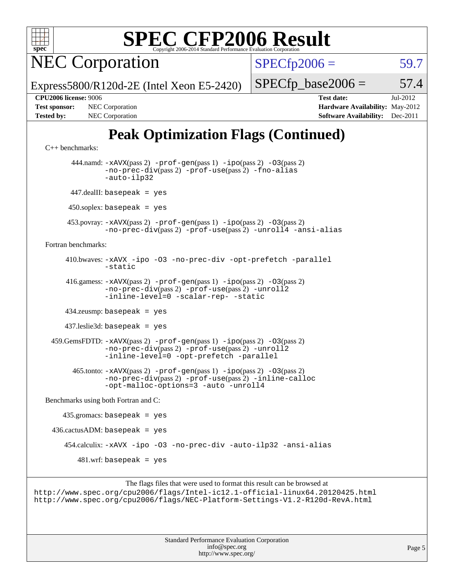

NEC Corporation

 $SPECfp2006 = 59.7$  $SPECfp2006 = 59.7$ 

Express5800/R120d-2E (Intel Xeon E5-2420)

**[CPU2006 license:](http://www.spec.org/auto/cpu2006/Docs/result-fields.html#CPU2006license)** 9006 **[Test date:](http://www.spec.org/auto/cpu2006/Docs/result-fields.html#Testdate)** Jul-2012

 $SPECTp\_base2006 = 57.4$ 

**[Test sponsor:](http://www.spec.org/auto/cpu2006/Docs/result-fields.html#Testsponsor)** NEC Corporation **NEC Corporation [Hardware Availability:](http://www.spec.org/auto/cpu2006/Docs/result-fields.html#HardwareAvailability)** May-2012 **[Tested by:](http://www.spec.org/auto/cpu2006/Docs/result-fields.html#Testedby)** NEC Corporation **[Software Availability:](http://www.spec.org/auto/cpu2006/Docs/result-fields.html#SoftwareAvailability)** Dec-2011

### **[Peak Optimization Flags \(Continued\)](http://www.spec.org/auto/cpu2006/Docs/result-fields.html#PeakOptimizationFlags)**

```
C++ benchmarks:
```

```
 444.namd: -xAVX(pass 2) -prof-gen(pass 1) -ipo(pass 2) -O3(pass 2)
               -no-prec-div(pass 2) -prof-use(pass 2) -fno-alias
               -auto-ilp32
       447.dealII: basepeak = yes
       450.soplex: basepeak = yes
      453.povray: -xAVX(pass 2) -prof-gen(pass 1) -ipo(pass 2) -O3(pass 2)
               -no-prec-div(pass 2) -prof-use(pass 2) -unroll4 -ansi-alias
Fortran benchmarks: 
      410.bwaves: -xAVX -ipo -O3 -no-prec-div -opt-prefetch -parallel
               -static
      416.gamess: -xAVX(pass 2) -prof-gen(pass 1) -ipo(pass 2) -O3(pass 2)
                -no-prec-div(pass 2) -prof-use(pass 2) -unroll2
               -inline-level=0-scalar-rep--static
      434.zeusmp: basepeak = yes
      437.leslie3d: basepeak = yes
  459.GemsFDTD: -xAVX(pass 2) -prof-gen(pass 1) -ipo(pass 2) -O3(pass 2)
               -no-prec-div(pass 2) -prof-use(pass 2) -unroll2
               -inline-level=0 -opt-prefetch -parallel
        465.tonto: -xAVX(pass 2) -prof-gen(pass 1) -ipo(pass 2) -O3(pass 2)
               -no-prec-div(pass 2) -prof-use(pass 2) -inline-calloc
               -opt-malloc-options=3 -auto -unroll4
Benchmarks using both Fortran and C: 
    435.\text{gromacs: basepeak} = yes
 436.cactusADM: basepeak = yes 454.calculix: -xAVX -ipo -O3 -no-prec-div -auto-ilp32 -ansi-alias
        481.wrf: basepeak = yes
```
The flags files that were used to format this result can be browsed at <http://www.spec.org/cpu2006/flags/Intel-ic12.1-official-linux64.20120425.html> <http://www.spec.org/cpu2006/flags/NEC-Platform-Settings-V1.2-R120d-RevA.html>